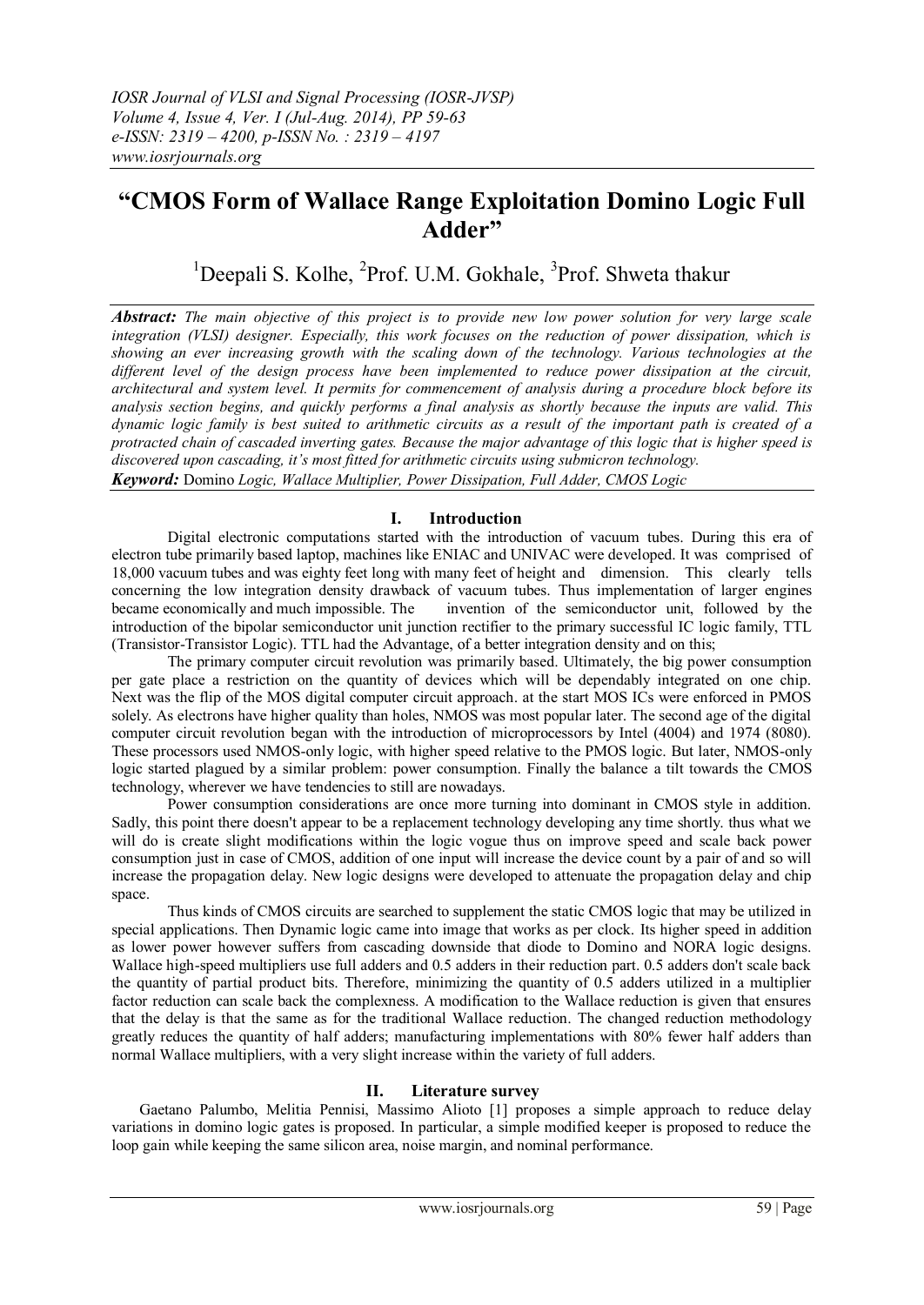# **"CMOS Form of Wallace Range Exploitation Domino Logic Full Adder"**

<sup>1</sup>Deepali S. Kolhe, <sup>2</sup>Prof. U.M. Gokhale, <sup>3</sup>Prof. Shweta thakur

*Abstract: The main objective of this project is to provide new low power solution for very large scale integration (VLSI) designer. Especially, this work focuses on the reduction of power dissipation, which is showing an ever increasing growth with the scaling down of the technology. Various technologies at the different level of the design process have been implemented to reduce power dissipation at the circuit, architectural and system level. It permits for commencement of analysis during a procedure block before its analysis section begins, and quickly performs a final analysis as shortly because the inputs are valid. This dynamic logic family is best suited to arithmetic circuits as a result of the important path is created of a protracted chain of cascaded inverting gates. Because the major advantage of this logic that is higher speed is discovered upon cascading, it's most fitted for arithmetic circuits using submicron technology. Keyword:* Domino *Logic, Wallace Multiplier, Power Dissipation, Full Adder, CMOS Logic*

## **I. Introduction**

Digital electronic computations started with the introduction of vacuum tubes. During this era of electron tube primarily based laptop, machines like ENIAC and UNIVAC were developed. It was comprised of 18,000 vacuum tubes and was eighty feet long with many feet of height and dimension. This clearly tells concerning the low integration density drawback of vacuum tubes. Thus implementation of larger engines became economically and much impossible. The invention of the semiconductor unit, followed by the introduction of the bipolar semiconductor unit junction rectifier to the primary successful IC logic family, TTL (Transistor-Transistor Logic). TTL had the Advantage, of a better integration density and on this;

The primary computer circuit revolution was primarily based. Ultimately, the big power consumption per gate place a restriction on the quantity of devices which will be dependably integrated on one chip. Next was the flip of the MOS digital computer circuit approach. at the start MOS ICs were enforced in PMOS solely. As electrons have higher quality than holes, NMOS was most popular later. The second age of the digital computer circuit revolution began with the introduction of microprocessors by Intel (4004) and 1974 (8080). These processors used NMOS-only logic, with higher speed relative to the PMOS logic. But later, NMOS-only logic started plagued by a similar problem: power consumption. Finally the balance a tilt towards the CMOS technology, wherever we have tendencies to still are nowadays.

Power consumption considerations are once more turning into dominant in CMOS style in addition. Sadly, this point there doesn't appear to be a replacement technology developing any time shortly. thus what we will do is create slight modifications within the logic vogue thus on improve speed and scale back power consumption just in case of CMOS, addition of one input will increase the device count by a pair of and so will increase the propagation delay. New logic designs were developed to attenuate the propagation delay and chip space.

Thus kinds of CMOS circuits are searched to supplement the static CMOS logic that may be utilized in special applications. Then Dynamic logic came into image that works as per clock. Its higher speed in addition as lower power however suffers from cascading downside that diode to Domino and NORA logic designs. Wallace high-speed multipliers use full adders and 0.5 adders in their reduction part. 0.5 adders don't scale back the quantity of partial product bits. Therefore, minimizing the quantity of 0.5 adders utilized in a multiplier factor reduction can scale back the complexness. A modification to the Wallace reduction is given that ensures that the delay is that the same as for the traditional Wallace reduction. The changed reduction methodology greatly reduces the quantity of half adders; manufacturing implementations with 80% fewer half adders than normal Wallace multipliers, with a very slight increase within the variety of full adders.

## **II. Literature survey**

Gaetano Palumbo, Melitia Pennisi, Massimo Alioto [1] proposes a simple approach to reduce delay variations in domino logic gates is proposed. In particular, a simple modified keeper is proposed to reduce the loop gain while keeping the same silicon area, noise margin, and nominal performance.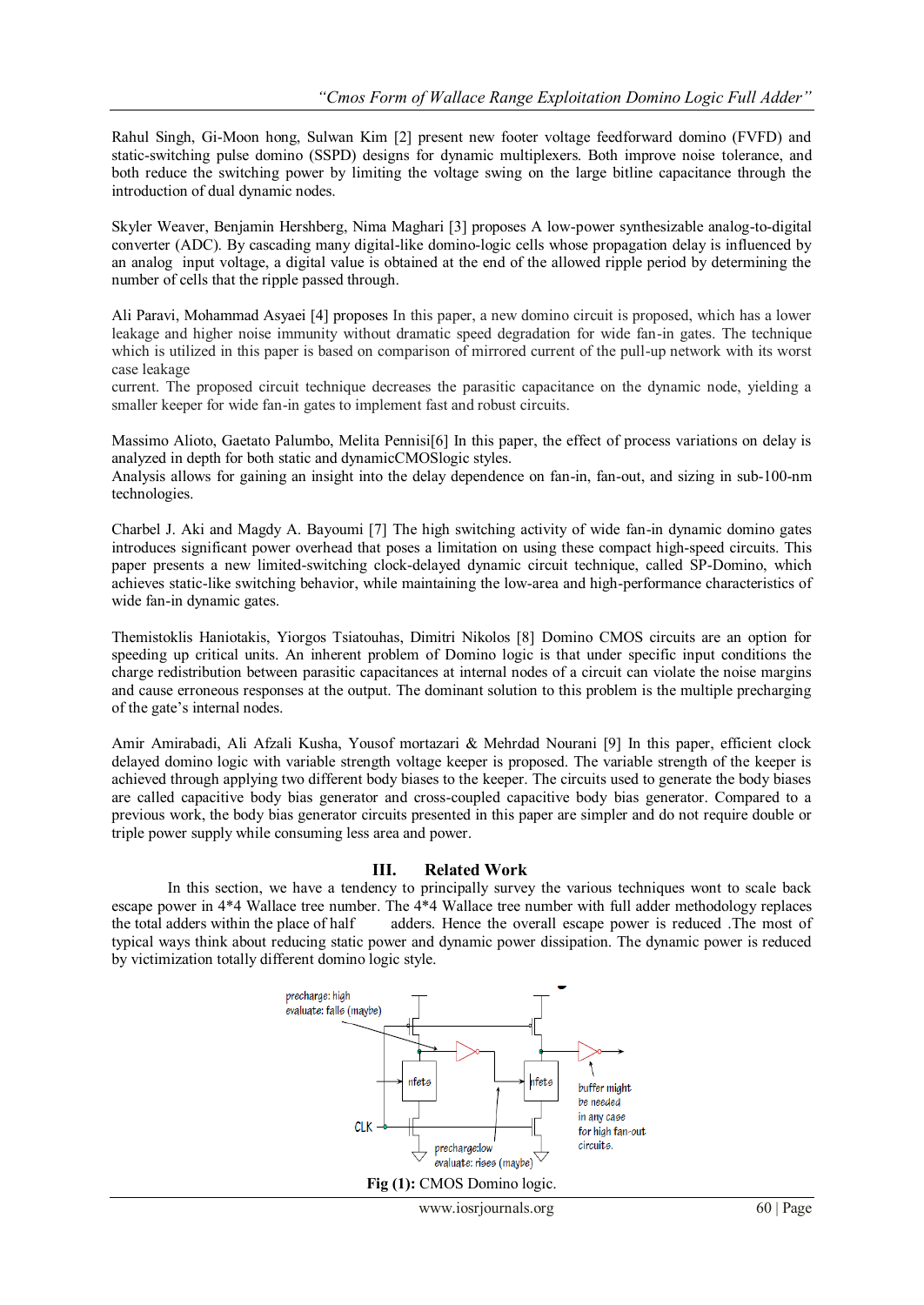Rahul Singh, Gi-Moon hong, Sulwan Kim [2] present new footer voltage feedforward domino (FVFD) and static-switching pulse domino (SSPD) designs for dynamic multiplexers. Both improve noise tolerance, and both reduce the switching power by limiting the voltage swing on the large bitline capacitance through the introduction of dual dynamic nodes.

Skyler Weaver, Benjamin Hershberg, Nima Maghari [3] proposes A low-power synthesizable analog-to-digital converter (ADC). By cascading many digital-like domino-logic cells whose propagation delay is influenced by an analog input voltage, a digital value is obtained at the end of the allowed ripple period by determining the number of cells that the ripple passed through.

Ali Paravi, Mohammad Asyaei [4] proposes In this paper, a new domino circuit is proposed, which has a lower leakage and higher noise immunity without dramatic speed degradation for wide fan-in gates. The technique which is utilized in this paper is based on comparison of mirrored current of the pull-up network with its worst case leakage

current. The proposed circuit technique decreases the parasitic capacitance on the dynamic node, yielding a smaller keeper for wide fan-in gates to implement fast and robust circuits.

Massimo Alioto, Gaetato Palumbo, Melita Pennisi[6] In this paper, the effect of process variations on delay is analyzed in depth for both static and dynamicCMOSlogic styles.

Analysis allows for gaining an insight into the delay dependence on fan-in, fan-out, and sizing in sub-100-nm technologies.

Charbel J. Aki and Magdy A. Bayoumi [7] The high switching activity of wide fan-in dynamic domino gates introduces significant power overhead that poses a limitation on using these compact high-speed circuits. This paper presents a new limited-switching clock-delayed dynamic circuit technique, called SP-Domino, which achieves static-like switching behavior, while maintaining the low-area and high-performance characteristics of wide fan-in dynamic gates.

Themistoklis Haniotakis, Yiorgos Tsiatouhas, Dimitri Nikolos [8] Domino CMOS circuits are an option for speeding up critical units. An inherent problem of Domino logic is that under specific input conditions the charge redistribution between parasitic capacitances at internal nodes of a circuit can violate the noise margins and cause erroneous responses at the output. The dominant solution to this problem is the multiple precharging of the gate's internal nodes.

Amir Amirabadi, Ali Afzali Kusha, Yousof mortazari & Mehrdad Nourani [9] In this paper, efficient clock delayed domino logic with variable strength voltage keeper is proposed. The variable strength of the keeper is achieved through applying two different body biases to the keeper. The circuits used to generate the body biases are called capacitive body bias generator and cross-coupled capacitive body bias generator. Compared to a previous work, the body bias generator circuits presented in this paper are simpler and do not require double or triple power supply while consuming less area and power.

#### **III. Related Work**

In this section, we have a tendency to principally survey the various techniques wont to scale back escape power in 4\*4 Wallace tree number. The 4\*4 Wallace tree number with full adder methodology replaces the total adders within the place of half adders. Hence the overall escape power is reduced .The most of typical ways think about reducing static power and dynamic power dissipation. The dynamic power is reduced by victimization totally different domino logic style.

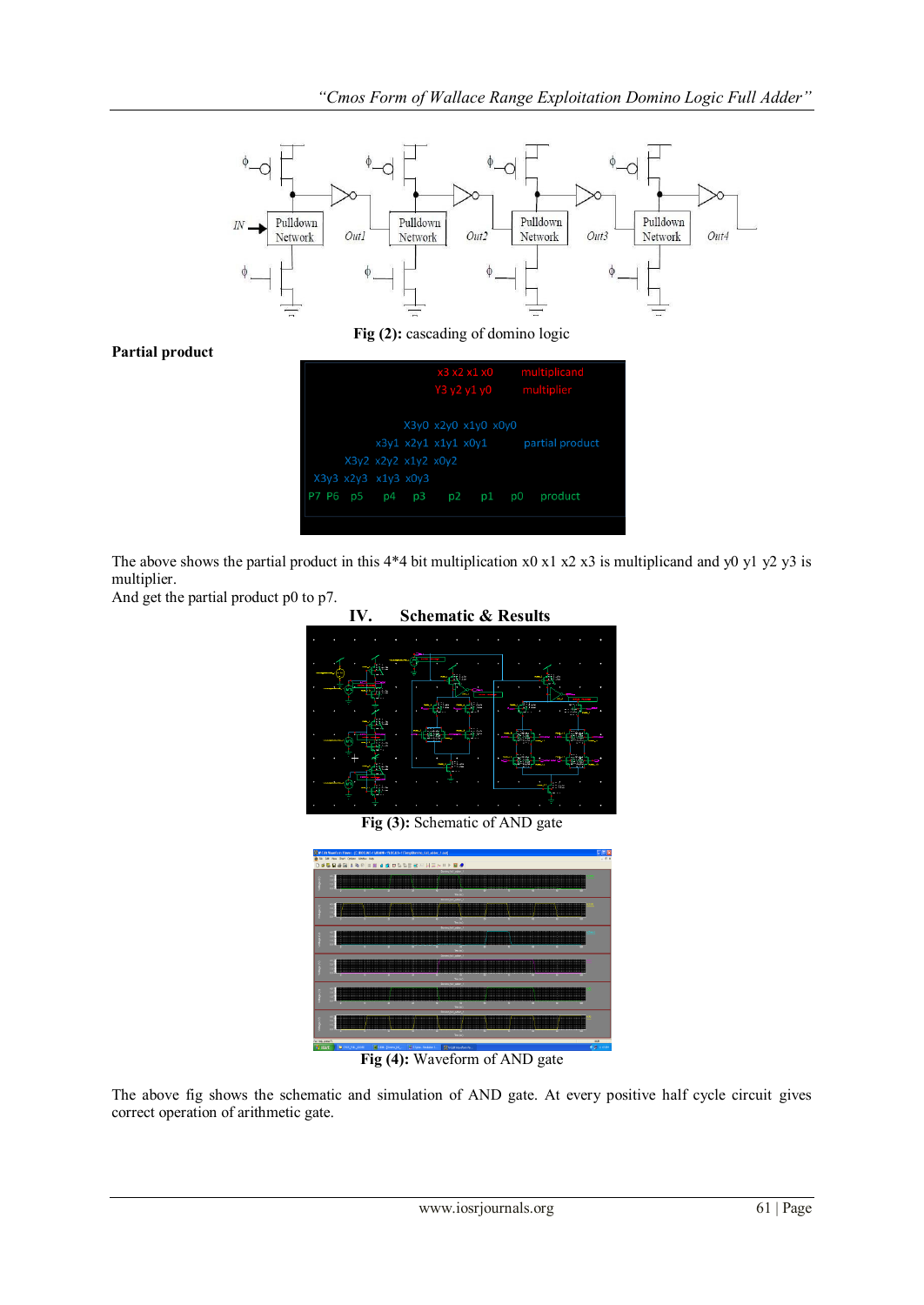

The above shows the partial product in this  $4*4$  bit multiplication x0 x1 x2 x3 is multiplicand and y0 y1 y2 y3 is multiplier.

And get the partial product p0 to p7.

## **IV. Schematic & Results**



**Fig (3):** Schematic of AND gate

|                                        |         | Edit View Chart Options Wedow Help- |   | W-Edit Mareforn Kiewer - [C/DOCDUE-1WOUNI-1V.OCALS-1VFerryWorrino_full_adder_5.out] |                    |                                      |             |   |  |                         |       |
|----------------------------------------|---------|-------------------------------------|---|-------------------------------------------------------------------------------------|--------------------|--------------------------------------|-------------|---|--|-------------------------|-------|
| de File                                |         |                                     |   | D # 5 日 # 日   ▲ 8   ■ H # 8   ■ B B B B   H = A   ▶ B #                             |                    |                                      |             |   |  |                         | . 0 x |
|                                        |         |                                     |   |                                                                                     |                    | <b>Design Automation</b>             |             |   |  |                         |       |
|                                        | ш<br>B  |                                     |   |                                                                                     |                    |                                      |             |   |  |                         |       |
|                                        |         |                                     | ÷ |                                                                                     |                    | - 9                                  | man<br>- 60 |   |  |                         |       |
|                                        |         |                                     |   |                                                                                     |                    | Text.<br><b>Sales Ad Adams</b>       |             |   |  |                         |       |
|                                        |         |                                     |   |                                                                                     |                    |                                      |             |   |  |                         |       |
|                                        | B       |                                     |   |                                                                                     |                    |                                      |             |   |  |                         |       |
|                                        |         |                                     |   |                                                                                     |                    | <b>Sec.</b>                          |             |   |  |                         |       |
|                                        |         |                                     |   |                                                                                     |                    | School All, wider                    |             |   |  |                         |       |
|                                        | E       |                                     |   |                                                                                     |                    |                                      |             |   |  |                         |       |
|                                        |         |                                     |   |                                                                                     |                    |                                      |             |   |  |                         |       |
|                                        |         |                                     |   |                                                                                     |                    | $\sim$<br><b>CONTRACTOR</b>          |             |   |  |                         |       |
|                                        | σ       |                                     |   |                                                                                     |                    |                                      |             |   |  |                         |       |
|                                        | ٠       |                                     |   |                                                                                     |                    |                                      |             |   |  |                         |       |
|                                        |         |                                     |   |                                                                                     |                    | <b>She for</b>                       |             |   |  |                         |       |
|                                        | 45      |                                     |   |                                                                                     |                    | <b>CALCUME</b>                       |             |   |  |                         |       |
|                                        | ×<br>٠  |                                     |   |                                                                                     |                    |                                      |             |   |  |                         |       |
|                                        |         |                                     | m |                                                                                     |                    | or 15                                |             | œ |  |                         |       |
|                                        |         |                                     |   |                                                                                     |                    | <b>Station</b><br><b>CALCULATION</b> |             |   |  |                         |       |
|                                        | ю<br>ł, |                                     |   |                                                                                     |                    |                                      |             |   |  |                         |       |
|                                        |         |                                     | ÷ |                                                                                     | -                  | ≖                                    |             |   |  |                         |       |
|                                        |         |                                     |   |                                                                                     |                    | <b>The Jid</b>                       |             |   |  |                         |       |
| For Help, press Ft.<br><b>By start</b> |         | В отлуча кого                       |   | Elsta-Jonnesia                                                                      | Military Smiller S | <b>Retainers</b>                     |             |   |  | PRA<br><b>Radiances</b> |       |
|                                        |         |                                     |   |                                                                                     |                    |                                      |             |   |  |                         |       |

**Fig (4):** Waveform of AND gate

The above fig shows the schematic and simulation of AND gate. At every positive half cycle circuit gives correct operation of arithmetic gate.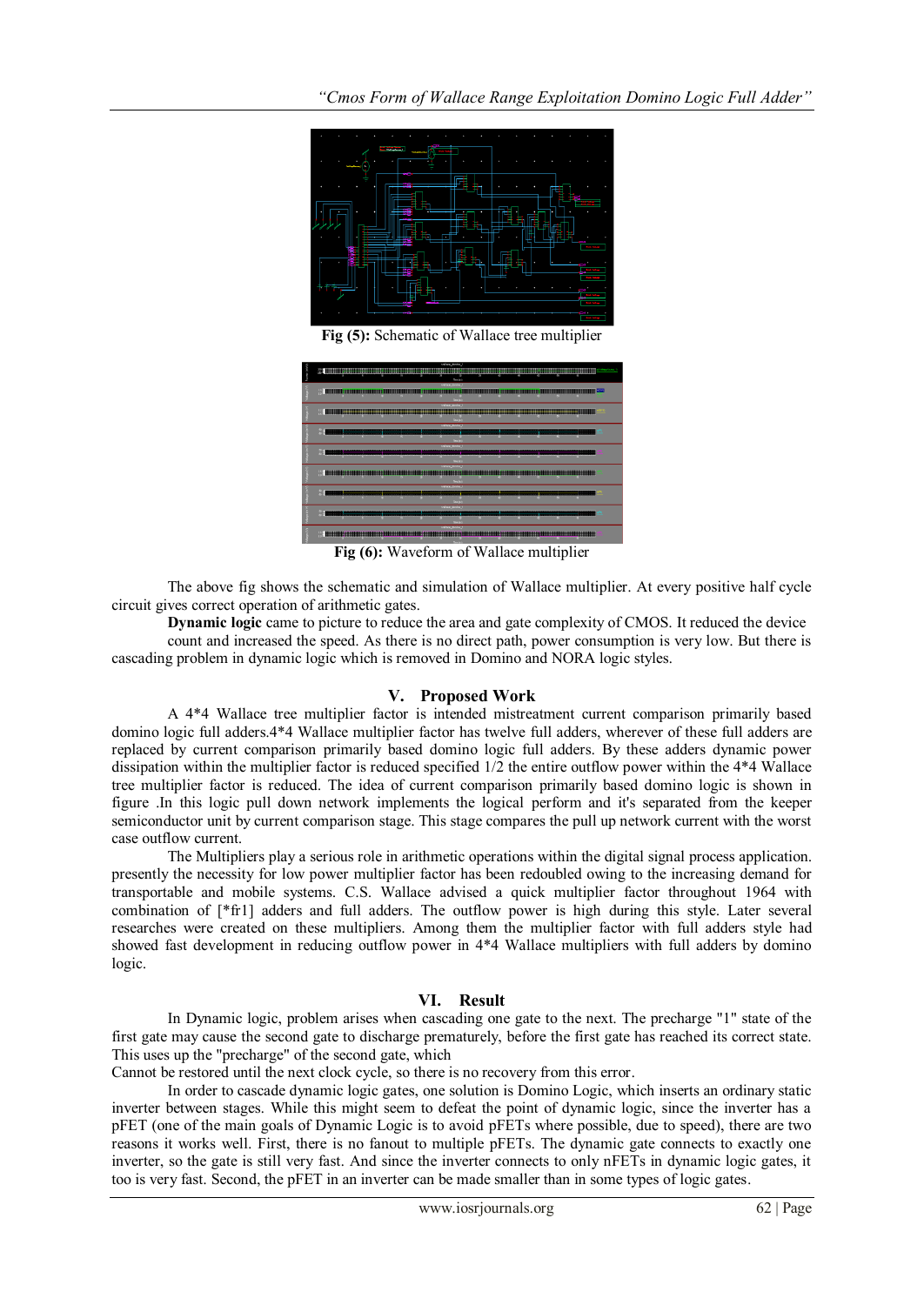

**Fig (5):** Schematic of Wallace tree multiplier



**Fig (6):** Waveform of Wallace multiplier

The above fig shows the schematic and simulation of Wallace multiplier. At every positive half cycle circuit gives correct operation of arithmetic gates.

**Dynamic logic** came to picture to reduce the area and gate complexity of CMOS. It reduced the device count and increased the speed. As there is no direct path, power consumption is very low. But there is cascading problem in dynamic logic which is removed in Domino and NORA logic styles.

## **V. Proposed Work**

A 4\*4 Wallace tree multiplier factor is intended mistreatment current comparison primarily based domino logic full adders.4\*4 Wallace multiplier factor has twelve full adders, wherever of these full adders are replaced by current comparison primarily based domino logic full adders. By these adders dynamic power dissipation within the multiplier factor is reduced specified 1/2 the entire outflow power within the 4\*4 Wallace tree multiplier factor is reduced. The idea of current comparison primarily based domino logic is shown in figure .In this logic pull down network implements the logical perform and it's separated from the keeper semiconductor unit by current comparison stage. This stage compares the pull up network current with the worst case outflow current.

The Multipliers play a serious role in arithmetic operations within the digital signal process application. presently the necessity for low power multiplier factor has been redoubled owing to the increasing demand for transportable and mobile systems. C.S. Wallace advised a quick multiplier factor throughout 1964 with combination of [\*fr1] adders and full adders. The outflow power is high during this style. Later several researches were created on these multipliers. Among them the multiplier factor with full adders style had showed fast development in reducing outflow power in 4\*4 Wallace multipliers with full adders by domino logic.

## **VI. Result**

In [Dynamic logic,](http://en.wikipedia.org/wiki/Dynamic_logic_(digital_electronics)) problem arises when cascading one gate to the next. The precharge "1" state of the first gate may cause the second gate to discharge prematurely, before the first gate has reached its correct state. This uses up the "precharge" of the second gate, which

Cannot be restored until the next clock cycle, so there is no recovery from this error.

In order to cascade dynamic logic gates, one solution is Domino Logic, which inserts an ordinary static inverter between stages. While this might seem to defeat the point of dynamic logic, since the inverter has a [pFET](http://en.wikipedia.org/wiki/PFET) (one of the main goals of Dynamic Logic is to avoid [pFETs](http://en.wikipedia.org/wiki/PFET) where possible, due to speed), there are two reasons it works well. First, there is no fanout to multiple pFETs. The dynamic gate connects to exactly one inverter, so the gate is still very fast. And since the inverter connects to only nFETs in dynamic logic gates, it too is very fast. Second, the pFET in an inverter can be made smaller than in some types of logic gates.